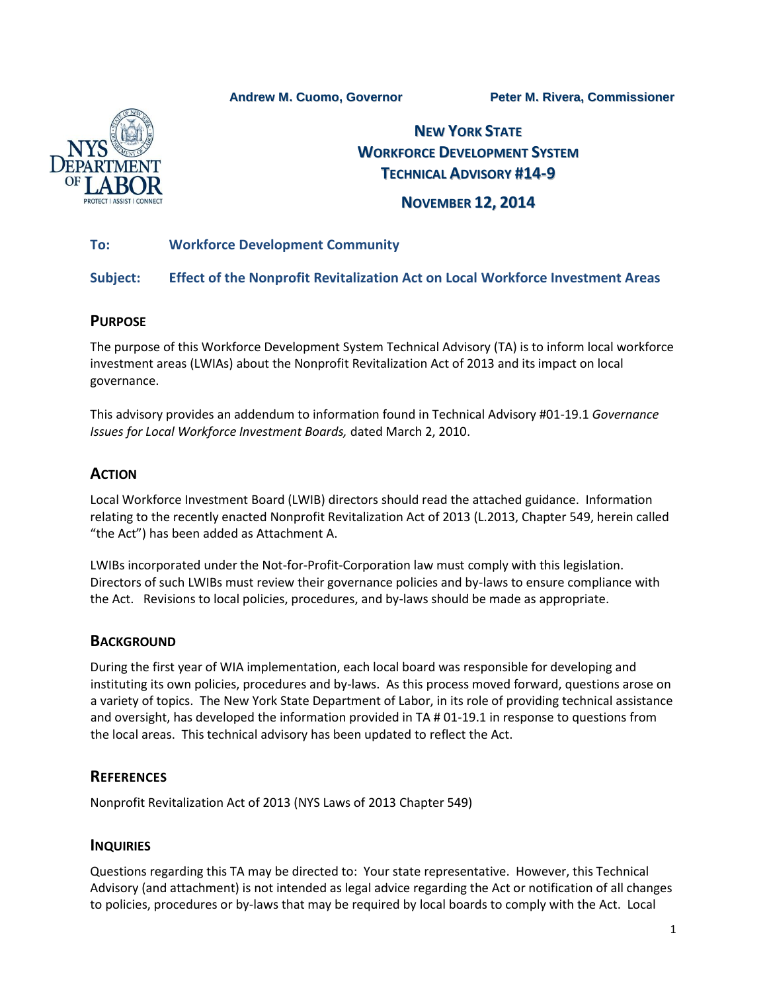**Andrew M. Cuomo, Governor Peter M. Rivera, Commissioner**



# **NEW YORK STATE WORKFORCE DEVELOPMENT SYSTEM TECHNICAL ADVISORY #14-9**

# **NOVEMBER 12, 2014**

## **To: Workforce Development Community**

#### **Subject: Effect of the Nonprofit Revitalization Act on Local Workforce Investment Areas**

#### **PURPOSE**

The purpose of this Workforce Development System Technical Advisory (TA) is to inform local workforce investment areas (LWIAs) about the Nonprofit Revitalization Act of 2013 and its impact on local governance.

This advisory provides an addendum to information found in Technical Advisory #01-19.1 *Governance Issues for Local Workforce Investment Boards,* dated March 2, 2010.

# **ACTION**

Local Workforce Investment Board (LWIB) directors should read the attached guidance. Information relating to the recently enacted Nonprofit Revitalization Act of 2013 (L.2013, Chapter 549, herein called "the Act") has been added as Attachment A.

LWIBs incorporated under the Not-for-Profit-Corporation law must comply with this legislation. Directors of such LWIBs must review their governance policies and by-laws to ensure compliance with the Act. Revisions to local policies, procedures, and by-laws should be made as appropriate.

## **BACKGROUND**

During the first year of WIA implementation, each local board was responsible for developing and instituting its own policies, procedures and by-laws. As this process moved forward, questions arose on a variety of topics. The New York State Department of Labor, in its role of providing technical assistance and oversight, has developed the information provided in TA # 01-19.1 in response to questions from the local areas. This technical advisory has been updated to reflect the Act.

## **REFERENCES**

Nonprofit Revitalization Act of 2013 (NYS Laws of 2013 Chapter 549)

#### **INQUIRIES**

Questions regarding this TA may be directed to: Your state representative. However, this Technical Advisory (and attachment) is not intended as legal advice regarding the Act or notification of all changes to policies, procedures or by-laws that may be required by local boards to comply with the Act. Local